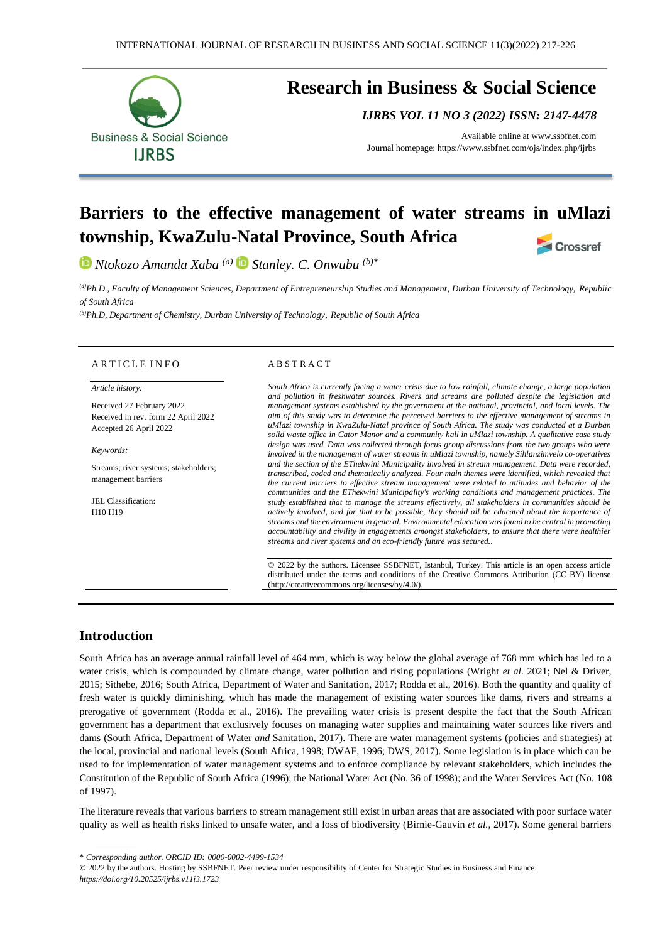

# **Research in Business & Social Science**

*IJRBS VOL 11 NO 3 (2022) ISSN: 2147-4478*

Available online at [www.ssbfnet.com](http://www.ssbfnet.com/) Journal homepage: https://www.ssbfnet.com/ojs/index.php/ijrbs

## **Barriers to the effective management of water streams in uMlazi township, KwaZulu-Natal Province, South Africa** Crossref

*Ntokozo Amanda Xaba (a) Stanley. C. Onwubu (b)\**

*(a)Ph.D., Faculty of Management Sciences, Department of Entrepreneurship Studies and Management, Durban University of Technology, Republic of South Africa*

*(b)Ph.D, Department of Chemistry, Durban University of Technology, Republic of South Africa*

#### ARTICLE INFO

*Article history:* 

Received 27 February 2022 Received in rev. form 22 April 2022 Accepted 26 April 2022

*Keywords:*

Streams; river systems; stakeholders; management barriers

JEL Classification: H10 H19

#### A B S T R A C T

*South Africa is currently facing a water crisis due to low rainfall, climate change, a large population and pollution in freshwater sources. Rivers and streams are polluted despite the legislation and management systems established by the government at the national, provincial, and local levels. The aim of this study was to determine the perceived barriers to the effective management of streams in uMlazi township in KwaZulu-Natal province of South Africa. The study was conducted at a Durban solid waste office in Cator Manor and a community hall in uMlazi township. A qualitative case study design was used. Data was collected through focus group discussions from the two groups who were involved in the management of water streams in uMlazi township, namely Sihlanzimvelo co-operatives and the section of the EThekwini Municipality involved in stream management. Data were recorded, transcribed, coded and thematically analyzed. Four main themes were identified, which revealed that the current barriers to effective stream management were related to attitudes and behavior of the communities and the EThekwini Municipality's working conditions and management practices. The study established that to manage the streams effectively, all stakeholders in communities should be actively involved, and for that to be possible, they should all be educated about the importance of streams and the environment in general. Environmental education was found to be central in promoting accountability and civility in engagements amongst stakeholders, to ensure that there were healthier streams and river systems and an eco-friendly future was secured..*

© 2022 by the authors. Licensee SSBFNET, Istanbul, Turkey. This article is an open access article distributed under the terms and conditions of the Creative Commons Attribution (CC BY) license (http://creativecommons.org/licenses/by/4.0/).

## **Introduction**

South Africa has an average annual rainfall level of 464 mm, which is way below the global average of 768 mm which has led to a water crisis, which is compounded by climate change, water pollution and rising populations (Wright *et al*. 2021; Nel & Driver, 2015; Sithebe, 2016; South Africa, Department of Water and Sanitation, 2017; Rodda et al., 2016). Both the quantity and quality of fresh water is quickly diminishing, which has made the management of existing water sources like dams, rivers and streams a prerogative of government (Rodda et al., 2016). The prevailing water crisis is present despite the fact that the South African government has a department that exclusively focuses on managing water supplies and maintaining water sources like rivers and dams (South Africa, Department of Water *and* Sanitation, 2017). There are water management systems (policies and strategies) at the local, provincial and national levels (South Africa, 1998; DWAF, 1996; DWS, 2017). Some legislation is in place which can be used to for implementation of water management systems and to enforce compliance by relevant stakeholders, which includes the Constitution of the Republic of South Africa (1996); the National Water Act (No. 36 of 1998); and the Water Services Act (No. 108 of 1997).

The literature reveals that various barriers to stream management still exist in urban areas that are associated with poor surface water quality as well as health risks linked to unsafe water, and a loss of biodiversity (Birnie-Gauvin *et al.,* 2017). Some general barriers

© 2022 by the authors. Hosting by SSBFNET. Peer review under responsibility of Center for Strategic Studies in Business and Finance. *<https://doi.org/10.20525/ijrbs.v11i3.1723>*

<sup>\*</sup> *Corresponding author. ORCID ID: 0000-0002-4499-1534*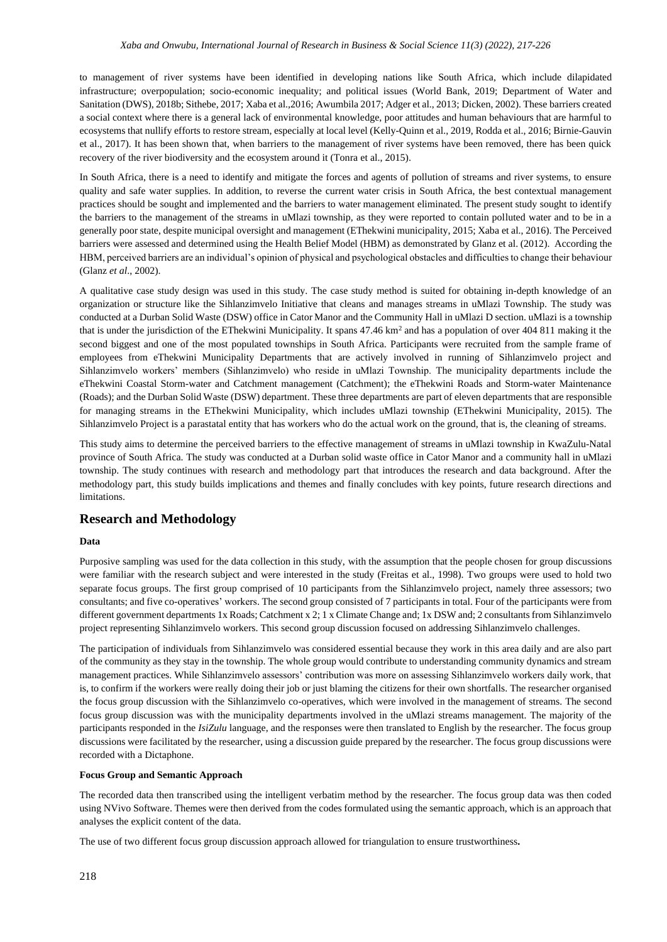to management of river systems have been identified in developing nations like South Africa, which include dilapidated infrastructure; overpopulation; socio-economic inequality; and political issues (World Bank, 2019; Department of Water and Sanitation (DWS), 2018b; Sithebe, 2017; Xaba et al.,2016; Awumbila 2017; Adger et al., 2013; Dicken, 2002). These barriers created a social context where there is a general lack of environmental knowledge, poor attitudes and human behaviours that are harmful to ecosystems that nullify efforts to restore stream, especially at local level (Kelly-Quinn et al., 2019, Rodda et al., 2016; Birnie-Gauvin et al., 2017). It has been shown that, when barriers to the management of river systems have been removed, there has been quick recovery of the river biodiversity and the ecosystem around it (Tonra et al., 2015).

In South Africa, there is a need to identify and mitigate the forces and agents of pollution of streams and river systems, to ensure quality and safe water supplies. In addition, to reverse the current water crisis in South Africa, the best contextual management practices should be sought and implemented and the barriers to water management eliminated. The present study sought to identify the barriers to the management of the streams in uMlazi township, as they were reported to contain polluted water and to be in a generally poor state, despite municipal oversight and management (EThekwini municipality, 2015; Xaba et al., 2016). The Perceived barriers were assessed and determined using the Health Belief Model (HBM) as demonstrated by Glanz et al. (2012). According the HBM, perceived barriers are an individual's opinion of physical and psychological obstacles and difficulties to change their behaviour (Glanz *et al*., 2002).

A qualitative case study design was used in this study. The case study method is suited for obtaining in-depth knowledge of an organization or structure like the Sihlanzimvelo Initiative that cleans and manages streams in uMlazi Township. The study was conducted at a Durban Solid Waste (DSW) office in Cator Manor and the Community Hall in uMlazi D section. uMlazi is a township that is under the jurisdiction of the EThekwini Municipality. It spans  $47.46 \text{ km}^2$  and has a population of over  $404\text{ }811$  making it the second biggest and one of the most populated townships in South Africa. Participants were recruited from the sample frame of employees from eThekwini Municipality Departments that are actively involved in running of Sihlanzimvelo project and Sihlanzimvelo workers' members (Sihlanzimvelo) who reside in uMlazi Township. The municipality departments include the eThekwini Coastal Storm-water and Catchment management (Catchment); the eThekwini Roads and Storm-water Maintenance (Roads); and the Durban Solid Waste (DSW) department. These three departments are part of eleven departments that are responsible for managing streams in the EThekwini Municipality, which includes uMlazi township (EThekwini Municipality, 2015). The Sihlanzimvelo Project is a parastatal entity that has workers who do the actual work on the ground, that is, the cleaning of streams.

This study aims to determine the perceived barriers to the effective management of streams in uMlazi township in KwaZulu-Natal province of South Africa. The study was conducted at a Durban solid waste office in Cator Manor and a community hall in uMlazi township. The study continues with research and methodology part that introduces the research and data background. After the methodology part, this study builds implications and themes and finally concludes with key points, future research directions and limitations.

## **Research and Methodology**

### **Data**

Purposive sampling was used for the data collection in this study, with the assumption that the people chosen for group discussions were familiar with the research subject and were interested in the study (Freitas et al., 1998). Two groups were used to hold two separate focus groups. The first group comprised of 10 participants from the Sihlanzimvelo project, namely three assessors; two consultants; and five co-operatives' workers. The second group consisted of 7 participants in total. Four of the participants were from different government departments 1x Roads; Catchment x 2; 1 x Climate Change and; 1x DSW and; 2 consultants from Sihlanzimvelo project representing Sihlanzimvelo workers. This second group discussion focused on addressing Sihlanzimvelo challenges.

The participation of individuals from Sihlanzimvelo was considered essential because they work in this area daily and are also part of the community as they stay in the township. The whole group would contribute to understanding community dynamics and stream management practices. While Sihlanzimvelo assessors' contribution was more on assessing Sihlanzimvelo workers daily work, that is, to confirm if the workers were really doing their job or just blaming the citizens for their own shortfalls. The researcher organised the focus group discussion with the Sihlanzimvelo co-operatives, which were involved in the management of streams. The second focus group discussion was with the municipality departments involved in the uMlazi streams management. The majority of the participants responded in the *IsiZulu* language, and the responses were then translated to English by the researcher. The focus group discussions were facilitated by the researcher, using a discussion guide prepared by the researcher. The focus group discussions were recorded with a Dictaphone.

### **Focus Group and Semantic Approach**

The recorded data then transcribed using the intelligent verbatim method by the researcher. The focus group data was then coded using NVivo Software. Themes were then derived from the codes formulated using the semantic approach, which is an approach that analyses the explicit content of the data.

The use of two different focus group discussion approach allowed for triangulation to ensure trustworthiness**.**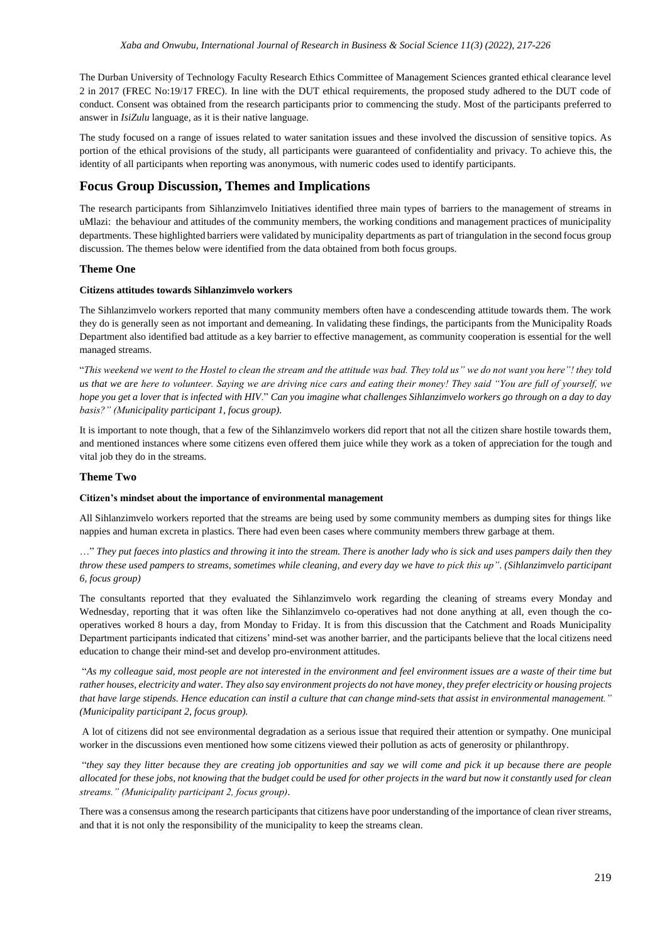The Durban University of Technology Faculty Research Ethics Committee of Management Sciences granted ethical clearance level 2 in 2017 (FREC No:19/17 FREC). In line with the DUT ethical requirements, the proposed study adhered to the DUT code of conduct. Consent was obtained from the research participants prior to commencing the study. Most of the participants preferred to answer in *IsiZulu* language, as it is their native language.

The study focused on a range of issues related to water sanitation issues and these involved the discussion of sensitive topics. As portion of the ethical provisions of the study, all participants were guaranteed of confidentiality and privacy. To achieve this, the identity of all participants when reporting was anonymous, with numeric codes used to identify participants.

## **Focus Group Discussion, Themes and Implications**

The research participants from Sihlanzimvelo Initiatives identified three main types of barriers to the management of streams in uMlazi: the behaviour and attitudes of the community members, the working conditions and management practices of municipality departments. These highlighted barriers were validated by municipality departments as part of triangulation in the second focus group discussion. The themes below were identified from the data obtained from both focus groups.

### **Theme One**

## **Citizens attitudes towards Sihlanzimvelo workers**

The Sihlanzimvelo workers reported that many community members often have a condescending attitude towards them. The work they do is generally seen as not important and demeaning. In validating these findings, the participants from the Municipality Roads Department also identified bad attitude as a key barrier to effective management, as community cooperation is essential for the well managed streams.

"*This weekend we went to the Hostel to clean the stream and the attitude was bad. They told us" we do not want you here"! they told us that we are here to volunteer. Saying we are driving nice cars and eating their money! They said "You are full of yourself, we hope you get a lover that is infected with HIV*." *Can you imagine what challenges Sihlanzimvelo workers go through on a day to day basis?" (Municipality participant 1, focus group).*

It is important to note though, that a few of the Sihlanzimvelo workers did report that not all the citizen share hostile towards them, and mentioned instances where some citizens even offered them juice while they work as a token of appreciation for the tough and vital job they do in the streams.

### **Theme Two**

#### **Citizen's mindset about the importance of environmental management**

All Sihlanzimvelo workers reported that the streams are being used by some community members as dumping sites for things like nappies and human excreta in plastics. There had even been cases where community members threw garbage at them.

…" *They put faeces into plastics and throwing it into the stream. There is another lady who is sick and uses pampers daily then they throw these used pampers to streams, sometimes while cleaning, and every day we have to pick this up"*. *(Sihlanzimvelo participant 6, focus group)*

The consultants reported that they evaluated the Sihlanzimvelo work regarding the cleaning of streams every Monday and Wednesday, reporting that it was often like the Sihlanzimvelo co-operatives had not done anything at all, even though the cooperatives worked 8 hours a day, from Monday to Friday. It is from this discussion that the Catchment and Roads Municipality Department participants indicated that citizens' mind-set was another barrier, and the participants believe that the local citizens need education to change their mind-set and develop pro-environment attitudes.

"*As my colleague said, most people are not interested in the environment and feel environment issues are a waste of their time but rather houses, electricity and water. They also say environment projects do not have money, they prefer electricity or housing projects that have large stipends. Hence education can instil a culture that can change mind-sets that assist in environmental management." (Municipality participant 2, focus group).*

A lot of citizens did not see environmental degradation as a serious issue that required their attention or sympathy. One municipal worker in the discussions even mentioned how some citizens viewed their pollution as acts of generosity or philanthropy.

"*they say they litter because they are creating job opportunities and say we will come and pick it up because there are people allocated for these jobs, not knowing that the budget could be used for other projects in the ward but now it constantly used for clean streams." (Municipality participant 2, focus group)*.

There was a consensus among the research participants that citizens have poor understanding of the importance of clean river streams, and that it is not only the responsibility of the municipality to keep the streams clean.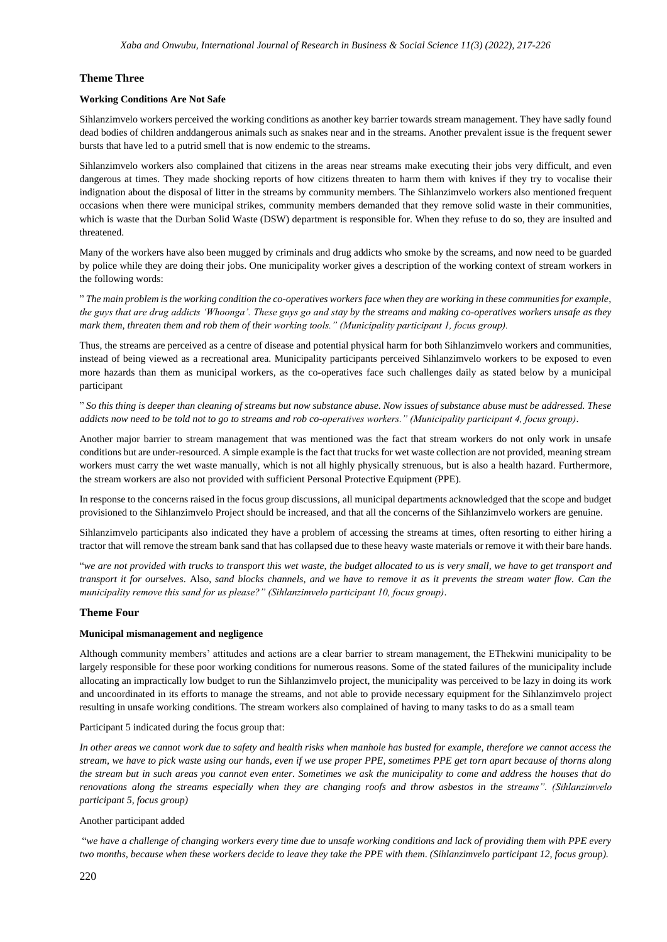#### **Theme Three**

## **Working Conditions Are Not Safe**

Sihlanzimvelo workers perceived the working conditions as another key barrier towards stream management. They have sadly found dead bodies of children anddangerous animals such as snakes near and in the streams. Another prevalent issue is the frequent sewer bursts that have led to a putrid smell that is now endemic to the streams.

Sihlanzimvelo workers also complained that citizens in the areas near streams make executing their jobs very difficult, and even dangerous at times. They made shocking reports of how citizens threaten to harm them with knives if they try to vocalise their indignation about the disposal of litter in the streams by community members. The Sihlanzimvelo workers also mentioned frequent occasions when there were municipal strikes, community members demanded that they remove solid waste in their communities, which is waste that the Durban Solid Waste (DSW) department is responsible for. When they refuse to do so, they are insulted and threatened.

Many of the workers have also been mugged by criminals and drug addicts who smoke by the screams, and now need to be guarded by police while they are doing their jobs. One municipality worker gives a description of the working context of stream workers in the following words:

" *The main problem is the working condition the co-operatives workers face when they are working in these communities for example, the guys that are drug addicts 'Whoonga'. These guys go and stay by the streams and making co-operatives workers unsafe as they mark them, threaten them and rob them of their working tools." (Municipality participant 1, focus group).*

Thus, the streams are perceived as a centre of disease and potential physical harm for both Sihlanzimvelo workers and communities, instead of being viewed as a recreational area. Municipality participants perceived Sihlanzimvelo workers to be exposed to even more hazards than them as municipal workers, as the co-operatives face such challenges daily as stated below by a municipal participant

" *So this thing is deeper than cleaning of streams but now substance abuse. Now issues of substance abuse must be addressed. These addicts now need to be told not to go to streams and rob co-operatives workers." (Municipality participant 4, focus group)*.

Another major barrier to stream management that was mentioned was the fact that stream workers do not only work in unsafe conditions but are under-resourced. A simple example is the fact that trucks for wet waste collection are not provided, meaning stream workers must carry the wet waste manually, which is not all highly physically strenuous, but is also a health hazard. Furthermore, the stream workers are also not provided with sufficient Personal Protective Equipment (PPE).

In response to the concerns raised in the focus group discussions, all municipal departments acknowledged that the scope and budget provisioned to the Sihlanzimvelo Project should be increased, and that all the concerns of the Sihlanzimvelo workers are genuine.

Sihlanzimvelo participants also indicated they have a problem of accessing the streams at times, often resorting to either hiring a tractor that will remove the stream bank sand that has collapsed due to these heavy waste materials or remove it with their bare hands.

"*we are not provided with trucks to transport this wet waste, the budget allocated to us is very small, we have to get transport and transport it for ourselves*. Also, *sand blocks channels, and we have to remove it as it prevents the stream water flow. Can the municipality remove this sand for us please?" (Sihlanzimvelo participant 10, focus group)*.

#### **Theme Four**

### **Municipal mismanagement and negligence**

Although community members' attitudes and actions are a clear barrier to stream management, the EThekwini municipality to be largely responsible for these poor working conditions for numerous reasons. Some of the stated failures of the municipality include allocating an impractically low budget to run the Sihlanzimvelo project, the municipality was perceived to be lazy in doing its work and uncoordinated in its efforts to manage the streams, and not able to provide necessary equipment for the Sihlanzimvelo project resulting in unsafe working conditions. The stream workers also complained of having to many tasks to do as a small team

#### Participant 5 indicated during the focus group that:

*In other areas we cannot work due to safety and health risks when manhole has busted for example, therefore we cannot access the stream, we have to pick waste using our hands, even if we use proper PPE, sometimes PPE get torn apart because of thorns along the stream but in such areas you cannot even enter. Sometimes we ask the municipality to come and address the houses that do renovations along the streams especially when they are changing roofs and throw asbestos in the streams". (Sihlanzimvelo participant 5, focus group)*

#### Another participant added

"*we have a challenge of changing workers every time due to unsafe working conditions and lack of providing them with PPE every two months, because when these workers decide to leave they take the PPE with them*. *(Sihlanzimvelo participant 12, focus group).*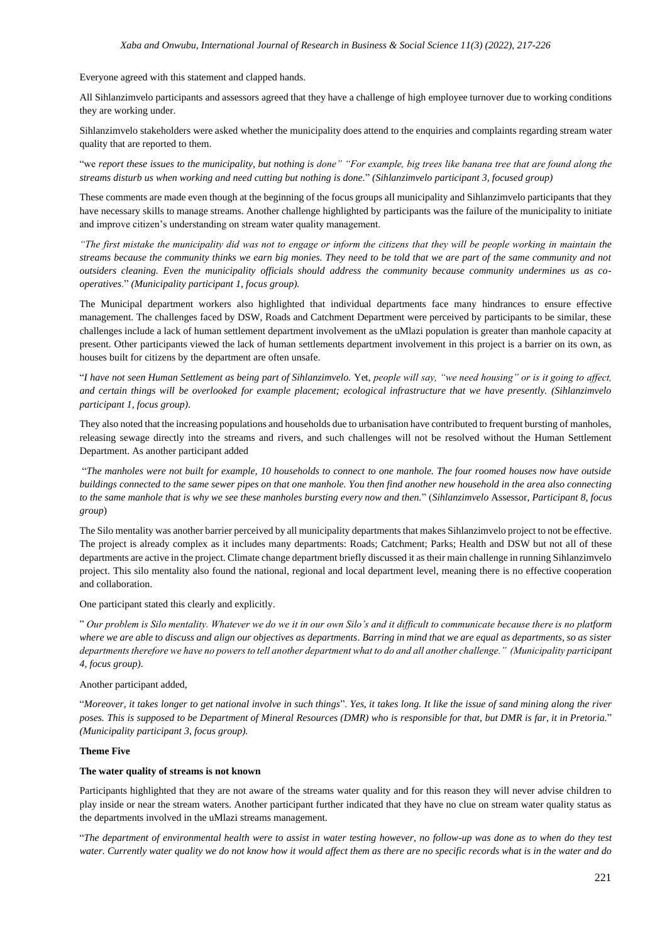Everyone agreed with this statement and clapped hands.

All Sihlanzimvelo participants and assessors agreed that they have a challenge of high employee turnover due to working conditions they are working under.

Sihlanzimvelo stakeholders were asked whether the municipality does attend to the enquiries and complaints regarding stream water quality that are reported to them.

"we *report these issues to the municipality, but nothing is done" "For example, big trees like banana tree that are found along the streams disturb us when working and need cutting but nothing is done.*" *(Sihlanzimvelo participant 3, focused group)*

These comments are made even though at the beginning of the focus groups all municipality and Sihlanzimvelo participants that they have necessary skills to manage streams. Another challenge highlighted by participants was the failure of the municipality to initiate and improve citizen's understanding on stream water quality management.

*"The first mistake the municipality did was not to engage or inform the citizens that they will be people working in maintain the streams because the community thinks we earn big monies. They need to be told that we are part of the same community and not outsiders cleaning. Even the municipality officials should address the community because community undermines us as cooperatives*." *(Municipality participant 1, focus group).*

The Municipal department workers also highlighted that individual departments face many hindrances to ensure effective management. The challenges faced by DSW, Roads and Catchment Department were perceived by participants to be similar, these challenges include a lack of human settlement department involvement as the uMlazi population is greater than manhole capacity at present. Other participants viewed the lack of human settlements department involvement in this project is a barrier on its own, as houses built for citizens by the department are often unsafe.

"*I have not seen Human Settlement as being part of Sihlanzimvelo.* Yet, *people will say, "we need housing" or is it going to affect, and certain things will be overlooked for example placement; ecological infrastructure that we have presently. (Sihlanzimvelo participant 1, focus group).*

They also noted that the increasing populations and households due to urbanisation have contributed to frequent bursting of manholes, releasing sewage directly into the streams and rivers, and such challenges will not be resolved without the Human Settlement Department. As another participant added

"*The manholes were not built for example, 10 households to connect to one manhole. The four roomed houses now have outside buildings connected to the same sewer pipes on that one manhole. You then find another new household in the area also connecting to the same manhole that is why we see these manholes bursting every now and then.*" (*Sihlanzimvelo* Assessor, *Participant 8, focus group*)

The Silo mentality was another barrier perceived by all municipality departments that makes Sihlanzimvelo project to not be effective. The project is already complex as it includes many departments: Roads; Catchment; Parks; Health and DSW but not all of these departments are active in the project. Climate change department briefly discussed it as their main challenge in running Sihlanzimvelo project. This silo mentality also found the national, regional and local department level, meaning there is no effective cooperation and collaboration.

One participant stated this clearly and explicitly.

" *Our problem is Silo mentality. Whatever we do we it in our own Silo's and it difficult to communicate because there is no platform where we are able to discuss and align our objectives as departments*. *Barring in mind that we are equal as departments, so as sister departments therefore we have no powers to tell another department what to do and all another challenge." (Municipality participant 4, focus group).*

#### Another participant added,

"*Moreover, it takes longer to get national involve in such things*". *Yes, it takes long. It like the issue of sand mining along the river poses. This is supposed to be Department of Mineral Resources (DMR) who is responsible for that, but DMR is far, it in Pretoria.*" *(Municipality participant 3, focus group).*

### **Theme Five**

#### **The water quality of streams is not known**

Participants highlighted that they are not aware of the streams water quality and for this reason they will never advise children to play inside or near the stream waters. Another participant further indicated that they have no clue on stream water quality status as the departments involved in the uMlazi streams management.

"*The department of environmental health were to assist in water testing however, no follow-up was done as to when do they test water. Currently water quality we do not know how it would affect them as there are no specific records what is in the water and do*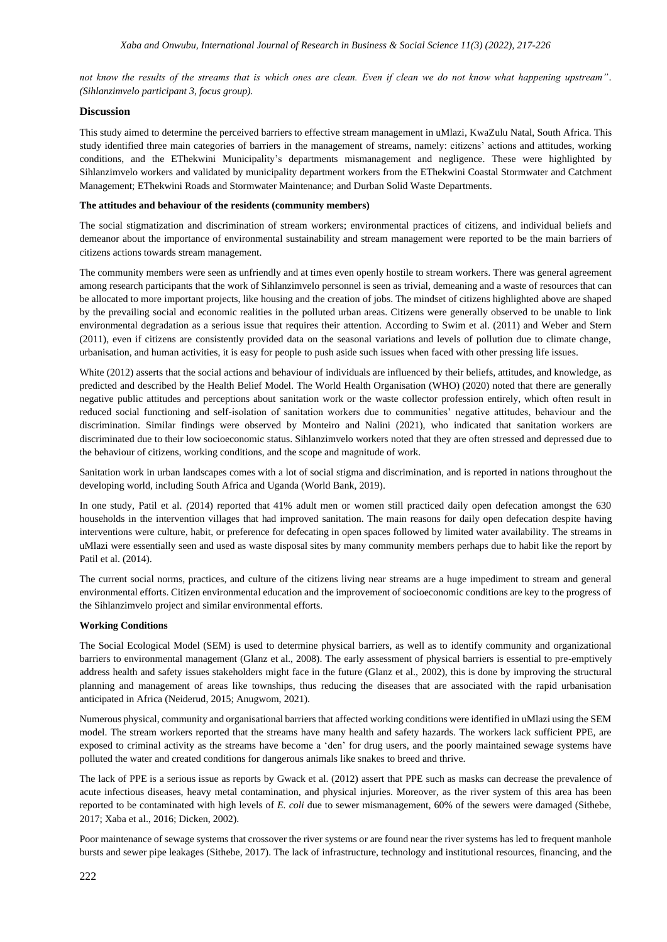*not know the results of the streams that is which ones are clean. Even if clean we do not know what happening upstream"*. *(Sihlanzimvelo participant 3, focus group).*

### **Discussion**

This study aimed to determine the perceived barriers to effective stream management in uMlazi, KwaZulu Natal, South Africa. This study identified three main categories of barriers in the management of streams, namely: citizens' actions and attitudes, working conditions, and the EThekwini Municipality's departments mismanagement and negligence. These were highlighted by Sihlanzimvelo workers and validated by municipality department workers from the EThekwini Coastal Stormwater and Catchment Management; EThekwini Roads and Stormwater Maintenance; and Durban Solid Waste Departments.

#### **The attitudes and behaviour of the residents (community members)**

The social stigmatization and discrimination of stream workers; environmental practices of citizens, and individual beliefs and demeanor about the importance of environmental sustainability and stream management were reported to be the main barriers of citizens actions towards stream management.

The community members were seen as unfriendly and at times even openly hostile to stream workers. There was general agreement among research participants that the work of Sihlanzimvelo personnel is seen as trivial, demeaning and a waste of resources that can be allocated to more important projects, like housing and the creation of jobs. The mindset of citizens highlighted above are shaped by the prevailing social and economic realities in the polluted urban areas. Citizens were generally observed to be unable to link environmental degradation as a serious issue that requires their attention. According to Swim et al. (2011) and Weber and Stern (2011), even if citizens are consistently provided data on the seasonal variations and levels of pollution due to climate change, urbanisation, and human activities, it is easy for people to push aside such issues when faced with other pressing life issues.

White (2012) asserts that the social actions and behaviour of individuals are influenced by their beliefs, attitudes, and knowledge, as predicted and described by the Health Belief Model. The World Health Organisation (WHO) (2020) noted that there are generally negative public attitudes and perceptions about sanitation work or the waste collector profession entirely, which often result in reduced social functioning and self-isolation of sanitation workers due to communities' negative attitudes, behaviour and the discrimination. Similar findings were observed by Monteiro and Nalini (2021), who indicated that sanitation workers are discriminated due to their low socioeconomic status. Sihlanzimvelo workers noted that they are often stressed and depressed due to the behaviour of citizens, working conditions, and the scope and magnitude of work.

Sanitation work in urban landscapes comes with a lot of social stigma and discrimination, and is reported in nations throughout the developing world, including South Africa and Uganda (World Bank, 2019).

In one study, Patil et al. *(*2014) reported that 41% adult men or women still practiced daily open defecation amongst the 630 households in the intervention villages that had improved sanitation. The main reasons for daily open defecation despite having interventions were culture, habit, or preference for defecating in open spaces followed by limited water availability. The streams in uMlazi were essentially seen and used as waste disposal sites by many community members perhaps due to habit like the report by Patil et al. (2014).

The current social norms, practices, and culture of the citizens living near streams are a huge impediment to stream and general environmental efforts. Citizen environmental education and the improvement of socioeconomic conditions are key to the progress of the Sihlanzimvelo project and similar environmental efforts.

### **Working Conditions**

The Social Ecological Model (SEM) is used to determine physical barriers, as well as to identify community and organizational barriers to environmental management (Glanz et al., 2008). The early assessment of physical barriers is essential to pre-emptively address health and safety issues stakeholders might face in the future (Glanz et al., 2002), this is done by improving the structural planning and management of areas like townships, thus reducing the diseases that are associated with the rapid urbanisation anticipated in Africa (Neiderud, 2015; Anugwom, 2021).

Numerous physical, community and organisational barriers that affected working conditions were identified in uMlazi using the SEM model. The stream workers reported that the streams have many health and safety hazards. The workers lack sufficient PPE, are exposed to criminal activity as the streams have become a 'den' for drug users, and the poorly maintained sewage systems have polluted the water and created conditions for dangerous animals like snakes to breed and thrive.

The lack of PPE is a serious issue as reports by Gwack et al. (2012) assert that PPE such as masks can decrease the prevalence of acute infectious diseases, heavy metal contamination, and physical injuries. Moreover, as the river system of this area has been reported to be contaminated with high levels of *E. coli* due to sewer mismanagement, 60% of the sewers were damaged (Sithebe, 2017; Xaba et al., 2016; Dicken, 2002).

Poor maintenance of sewage systems that crossover the river systems or are found near the river systems has led to frequent manhole bursts and sewer pipe leakages (Sithebe, 2017). The lack of infrastructure, technology and institutional resources, financing, and the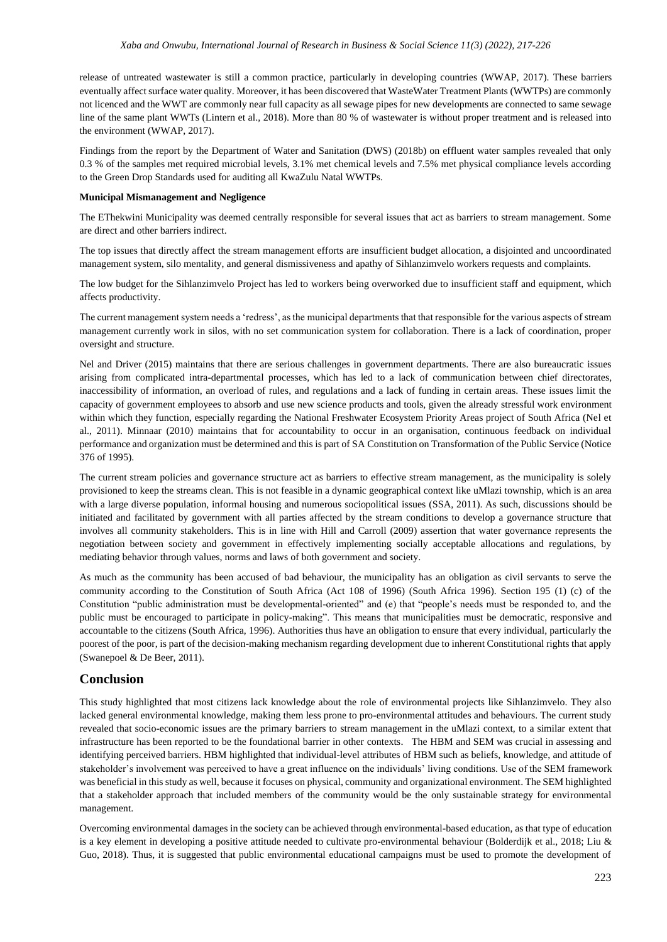release of untreated wastewater is still a common practice, particularly in developing countries (WWAP, 2017). These barriers eventually affect surface water quality. Moreover, it has been discovered that WasteWater Treatment Plants (WWTPs) are commonly not licenced and the WWT are commonly near full capacity as all sewage pipes for new developments are connected to same sewage line of the same plant WWTs (Lintern et al., 2018). More than 80 % of wastewater is without proper treatment and is released into the environment (WWAP, 2017).

Findings from the report by the Department of Water and Sanitation (DWS) (2018b) on effluent water samples revealed that only 0.3 % of the samples met required microbial levels, 3.1% met chemical levels and 7.5% met physical compliance levels according to the Green Drop Standards used for auditing all KwaZulu Natal WWTPs.

#### **Municipal Mismanagement and Negligence**

The EThekwini Municipality was deemed centrally responsible for several issues that act as barriers to stream management. Some are direct and other barriers indirect.

The top issues that directly affect the stream management efforts are insufficient budget allocation, a disjointed and uncoordinated management system, silo mentality, and general dismissiveness and apathy of Sihlanzimvelo workers requests and complaints.

The low budget for the Sihlanzimvelo Project has led to workers being overworked due to insufficient staff and equipment, which affects productivity.

The current management system needs a 'redress', as the municipal departments that that responsible for the various aspects of stream management currently work in silos, with no set communication system for collaboration. There is a lack of coordination, proper oversight and structure.

Nel and Driver (2015) maintains that there are serious challenges in government departments. There are also bureaucratic issues arising from complicated intra-departmental processes, which has led to a lack of communication between chief directorates, inaccessibility of information, an overload of rules, and regulations and a lack of funding in certain areas. These issues limit the capacity of government employees to absorb and use new science products and tools, given the already stressful work environment within which they function, especially regarding the National Freshwater Ecosystem Priority Areas project of South Africa (Nel et al., 2011). Minnaar (2010) maintains that for accountability to occur in an organisation, continuous feedback on individual performance and organization must be determined and this is part of SA Constitution on Transformation of the Public Service (Notice 376 of 1995).

The current stream policies and governance structure act as barriers to effective stream management, as the municipality is solely provisioned to keep the streams clean. This is not feasible in a dynamic geographical context like uMlazi township, which is an area with a large diverse population, informal housing and numerous sociopolitical issues (SSA, 2011). As such, discussions should be initiated and facilitated by government with all parties affected by the stream conditions to develop a governance structure that involves all community stakeholders. This is in line with Hill and Carroll (2009) assertion that water governance represents the negotiation between society and government in effectively implementing socially acceptable allocations and regulations, by mediating behavior through values, norms and laws of both government and society.

As much as the community has been accused of bad behaviour, the municipality has an obligation as civil servants to serve the community according to the Constitution of South Africa (Act 108 of 1996) (South Africa 1996). Section 195 (1) (c) of the Constitution "public administration must be developmental-oriented" and (e) that "people's needs must be responded to, and the public must be encouraged to participate in policy-making". This means that municipalities must be democratic, responsive and accountable to the citizens (South Africa, 1996). Authorities thus have an obligation to ensure that every individual, particularly the poorest of the poor, is part of the decision-making mechanism regarding development due to inherent Constitutional rights that apply (Swanepoel & De Beer, 2011).

## **Conclusion**

This study highlighted that most citizens lack knowledge about the role of environmental projects like Sihlanzimvelo. They also lacked general environmental knowledge, making them less prone to pro-environmental attitudes and behaviours. The current study revealed that socio-economic issues are the primary barriers to stream management in the uMlazi context, to a similar extent that infrastructure has been reported to be the foundational barrier in other contexts. The HBM and SEM was crucial in assessing and identifying perceived barriers. HBM highlighted that individual-level attributes of HBM such as beliefs, knowledge, and attitude of stakeholder's involvement was perceived to have a great influence on the individuals' living conditions. Use of the SEM framework was beneficial in this study as well, because it focuses on physical, community and organizational environment. The SEM highlighted that a stakeholder approach that included members of the community would be the only sustainable strategy for environmental management.

Overcoming environmental damages in the society can be achieved through environmental-based education, as that type of education is a key element in developing a positive attitude needed to cultivate pro-environmental behaviour (Bolderdijk et al., 2018; Liu & Guo, 2018). Thus, it is suggested that public environmental educational campaigns must be used to promote the development of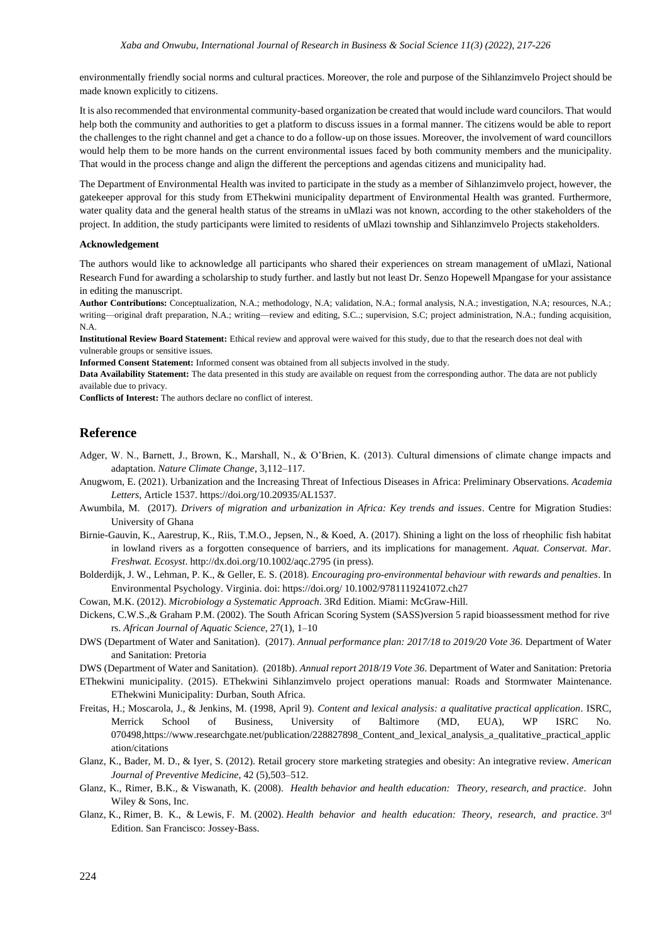environmentally friendly social norms and cultural practices. Moreover, the role and purpose of the Sihlanzimvelo Project should be made known explicitly to citizens.

It is also recommended that environmental community-based organization be created that would include ward councilors. That would help both the community and authorities to get a platform to discuss issues in a formal manner. The citizens would be able to report the challenges to the right channel and get a chance to do a follow-up on those issues. Moreover, the involvement of ward councillors would help them to be more hands on the current environmental issues faced by both community members and the municipality. That would in the process change and align the different the perceptions and agendas citizens and municipality had.

The Department of Environmental Health was invited to participate in the study as a member of Sihlanzimvelo project, however, the gatekeeper approval for this study from EThekwini municipality department of Environmental Health was granted. Furthermore, water quality data and the general health status of the streams in uMlazi was not known, according to the other stakeholders of the project. In addition, the study participants were limited to residents of uMlazi township and Sihlanzimvelo Projects stakeholders.

#### **Acknowledgement**

The authors would like to acknowledge all participants who shared their experiences on stream management of uMlazi, National Research Fund for awarding a scholarship to study further. and lastly but not least Dr. Senzo Hopewell Mpangase for your assistance in editing the manuscript.

**Author Contributions:** Conceptualization, N.A.; methodology, N.A; validation, N.A.; formal analysis, N.A.; investigation, N.A; resources, N.A.; writing—original draft preparation, N.A.; writing—review and editing, S.C..; supervision, S.C; project administration, N.A.; funding acquisition, N.A.

**Institutional Review Board Statement:** Ethical review and approval were waived for this study, due to that the research does not deal with vulnerable groups or sensitive issues.

**Informed Consent Statement:** Informed consent was obtained from all subjects involved in the study.

**Data Availability Statement:** The data presented in this study are available on request from the corresponding author. The data are not publicly available due to privacy.

**Conflicts of Interest:** The authors declare no conflict of interest.

## **Reference**

- Adger, W. N., Barnett, J., Brown, K., Marshall, N., & O'Brien, K. (2013). Cultural dimensions of climate change impacts and adaptation. *Nature Climate Change*, 3,112–117.
- Anugwom, E. (2021). Urbanization and the Increasing Threat of Infectious Diseases in Africa: Preliminary Observations. *Academia Letters*, Article 1537. https://doi.org/10.20935/AL1537.
- Awumbila, M. (2017). *Drivers of migration and urbanization in Africa: Key trends and issues*. Centre for Migration Studies: University of Ghana
- Birnie-Gauvin, K., Aarestrup, K., Riis, T.M.O., Jepsen, N., & Koed, A. (2017). Shining a light on the loss of rheophilic fish habitat in lowland rivers as a forgotten consequence of barriers, and its implications for management. *Aquat. Conservat. Mar. Freshwat. Ecosyst*[. http://dx.doi.org/10.1002/aqc.2795](http://dx.doi.org/10.1002/aqc.2795) (in press).
- Bolderdijk, J. W., Lehman, P. K., & Geller, E. S. (2018). *Encouraging pro-environmental behaviour with rewards and penalties*. In Environmental Psychology. Virginia. doi: https://doi.org/ 10.1002/9781119241072.ch27
- Cowan, M.K. (2012). *Microbiology a Systematic Approach*. 3Rd Edition. Miami: McGraw-Hill.
- Dickens, C.W.S.,& Graham P.M. (2002). The South African Scoring System (SASS)version 5 rapid bioassessment method for rive rs. *African Journal of Aquatic Science,* 27(1), 1–10
- DWS (Department of Water and Sanitation). (2017). *Annual performance plan: 2017/18 to 2019/20 Vote 36*. Department of Water and Sanitation: Pretoria
- DWS (Department of Water and Sanitation). (2018b). *Annual report 2018/19 Vote 36*. Department of Water and Sanitation: Pretoria
- EThekwini municipality. (2015). EThekwini Sihlanzimvelo project operations manual: Roads and Stormwater Maintenance. EThekwini Municipality: Durban, South Africa.
- Freitas, H.; Moscarola, J., & Jenkins, M. (1998, April 9). *Content and lexical analysis: a qualitative practical application*. ISRC, Merrick School of Business, University of Baltimore (MD, EUA), WP ISRC No. 07049[8,https://www.researchgate.net/publication/228827898\\_Content\\_and\\_lexical\\_analysis\\_a\\_qualitative\\_practical\\_applic](https://www.researchgate.net/publication/228827898_Content_and_lexical_analysis_a_qualitative_practical_application/citations) [ation/citations](https://www.researchgate.net/publication/228827898_Content_and_lexical_analysis_a_qualitative_practical_application/citations)
- Glanz, K., Bader, M. D., & Iyer, S. (2012). Retail grocery store marketing strategies and obesity: An integrative review. *American Journal of Preventive Medicine*, 42 (5),503–512.
- Glanz, K., Rimer, B.K., & Viswanath, K. (2008). *Health behavior and health education: Theory, research, and practice*. John Wiley & Sons, Inc.
- Glanz, K., Rimer, B. K., & Lewis, F. M. (2002). *Health behavior and health education: Theory, research, and practice*. 3<sup>rd</sup> Edition. San Francisco: Jossey-Bass.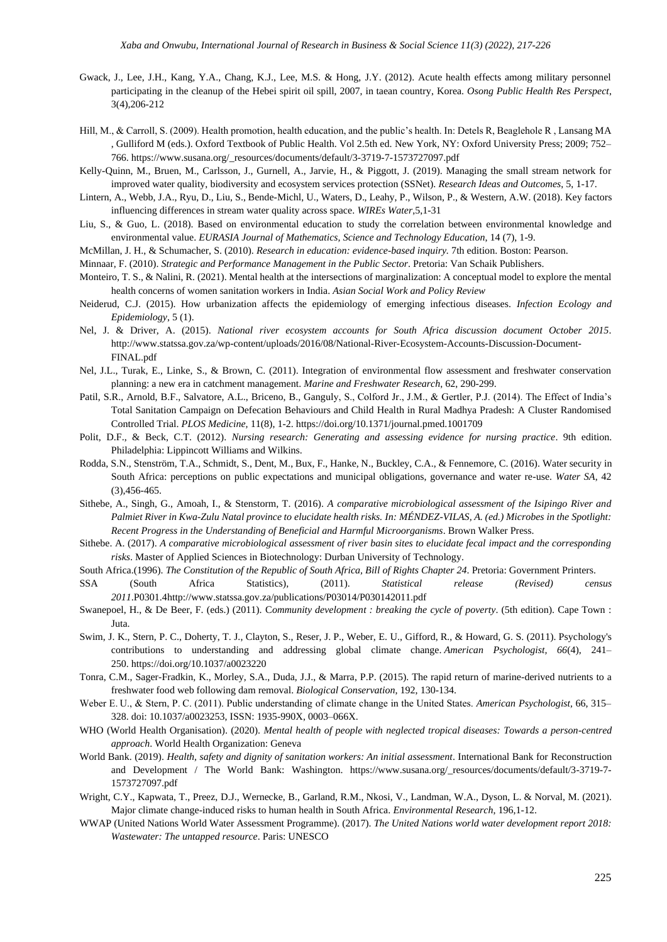- Gwack, J., Lee, J.H., Kang, Y.A., Chang, K.J., Lee, M.S. & Hong, J.Y. (2012). Acute health effects among military personnel participating in the cleanup of the Hebei spirit oil spill, 2007, in taean country, Korea. *Osong Public Health Res Perspect*, 3(4),206-212
- Hill, M., & Carroll, S. (2009). Health promotion, health education, and the public's health. In: Detels R, Beaglehole R , Lansang MA , Gulliford M (eds.). Oxford Textbook of Public Health. Vol 2.5th ed. New York, NY: Oxford University Press; 2009; 752– 766[. https://www.susana.org/\\_resources/documents/default/3-3719-7-1573727097.pdf](https://www.susana.org/_resources/documents/default/3-3719-7-1573727097.pdf)
- Kelly-Quinn, M., Bruen, M., Carlsson, J., Gurnell, A., Jarvie, H., & Piggott, J. (2019). Managing the small stream network for improved water quality, biodiversity and ecosystem services protection (SSNet). *Research Ideas and Outcomes*, 5, 1-17.
- Lintern, A., Webb, J.A., Ryu, D., Liu, S., Bende-Michl, U., Waters, D., Leahy, P., Wilson, P., & Western, A.W. (2018). Key factors influencing differences in stream water quality across space. *WIREs Water*,5,1-31
- Liu, S., & Guo, L. (2018). Based on environmental education to study the correlation between environmental knowledge and environmental value. *EURASIA Journal of Mathematics, Science and Technology Education*, 14 (7), 1-9.
- McMillan, J. H., & Schumacher, S. (2010). *Research in education: evidence-based inquiry.* 7th edition. Boston: Pearson.

Minnaar, F. (2010). *Strategic and Performance Management in the Public Sector*. Pretoria: Van Schaik Publishers.

- Monteiro, T. S., & Nalini, R. (2021). Mental health at the intersections of marginalization: A conceptual model to explore the mental health concerns of women sanitation workers in India. *Asian Social Work and Policy Review*
- Neiderud, C.J. (2015). How urbanization affects the epidemiology of emerging infectious diseases. *Infection Ecology and Epidemiology*, 5 (1).
- Nel, J. & Driver, A. (2015). *National river ecosystem accounts for South Africa discussion document October 2015*. [http://www.statssa.gov.za/wp-content/uploads/2016/08/National-River-Ecosystem-Accounts-Discussion-Document-](http://www.statssa.gov.za/wp-content/uploads/2016/08/National-River-Ecosystem-Accounts-Discussion-Document-FINAL.pdf)[FINAL.pdf](http://www.statssa.gov.za/wp-content/uploads/2016/08/National-River-Ecosystem-Accounts-Discussion-Document-FINAL.pdf)
- Nel, J.L., Turak, E., Linke, S., & Brown, C. (2011). Integration of environmental flow assessment and freshwater conservation planning: a new era in catchment management. *Marine and Freshwater Research*, 62, 290-299.
- Patil, S.R., Arnold, B.F., Salvatore, A.L., Briceno, B., Ganguly, S., Colford Jr., J.M., & Gertler, P.J. (2014). The Effect of India's Total Sanitation Campaign on Defecation Behaviours and Child Health in Rural Madhya Pradesh: A Cluster Randomised Controlled Trial. *PLOS Medicine,* 11(8), 1-2. <https://doi.org/10.1371/journal.pmed.1001709>
- Polit, D.F., & Beck, C.T. (2012). *Nursing research: Generating and assessing evidence for nursing practice*. 9th edition. Philadelphia: Lippincott Williams and Wilkins.
- Rodda, S.N., Stenström, T.A., Schmidt, S., Dent, M., Bux, F., Hanke, N., Buckley, C.A., & Fennemore, C. (2016). Water security in South Africa: perceptions on public expectations and municipal obligations, governance and water re-use. *Water SA*, 42 (3),456-465.
- Sithebe, A., Singh, G., Amoah, I., & Stenstorm, T. (2016). *A comparative microbiological assessment of the Isipingo River and Palmiet River in Kwa-Zulu Natal province to elucidate health risks. In: MÉNDEZ-VILAS, A. (ed.) Microbes in the Spotlight: Recent Progress in the Understanding of Beneficial and Harmful Microorganisms*. Brown Walker Press.
- Sithebe. A. (2017). *A comparative microbiological assessment of river basin sites to elucidate fecal impact and the corresponding risks*. Master of Applied Sciences in Biotechnology: Durban University of Technology.
- South Africa.(1996). *The Constitution of the Republic of South Africa, Bill of Rights Chapter 24*. Pretoria: Government Printers.
- SSA (South Africa Statistics), (2011). *Statistical release (Revised) census 2011*.P0301.[4http://www.statssa.gov.za/publications/P03014/P030142011.pdf](http://www.statssa.gov.za/publications/P03014/P030142011.pdf)
- Swanepoel, H., & De Beer, F. (eds.) (2011). C*ommunity development : breaking the cycle of poverty*. (5th edition). Cape Town : Juta.
- Swim, J. K., Stern, P. C., Doherty, T. J., Clayton, S., Reser, J. P., Weber, E. U., Gifford, R., & Howard, G. S. (2011). Psychology's contributions to understanding and addressing global climate change. *American Psychologist, 66*(4), 241– 250. [https://doi.org/10.1037/a0023220](https://psycnet.apa.org/doi/10.1037/a0023220)
- Tonra, C.M., Sager-Fradkin, K., Morley, S.A., Duda, J.J., & Marra, P.P. (2015). The rapid return of marine-derived nutrients to a freshwater food web following dam removal. *Biological Conservation*, 192, 130-134.
- Weber E. U., & Stern, P. C. (2011). Public understanding of climate change in the United States. *American Psychologist,* 66, 315– 328. doi: 10.1037/a0023253, ISSN: 1935-990X, 0003–066X.
- WHO (World Health Organisation). (2020). *Mental health of people with neglected tropical diseases: Towards a person-centred approach*. World Health Organization: Geneva
- World Bank. (2019). *Health, safety and dignity of sanitation workers: An initial assessment*. International Bank for Reconstruction and Development / The World Bank: Washington. [https://www.susana.org/\\_resources/documents/default/3-3719-7-](https://www.susana.org/_resources/documents/default/3-3719-7-1573727097.pdf) [1573727097.pdf](https://www.susana.org/_resources/documents/default/3-3719-7-1573727097.pdf)
- Wright, C.Y., Kapwata, T., Preez, D.J., Wernecke, B., Garland, R.M., Nkosi, V., Landman, W.A., Dyson, L. & Norval, M. (2021). Major climate change-induced risks to human health in South Africa. *Environmental Research*, 196,1-12.
- WWAP (United Nations World Water Assessment Programme). (2017). *The United Nations world water development report 2018: Wastewater: The untapped resource*. Paris: UNESCO